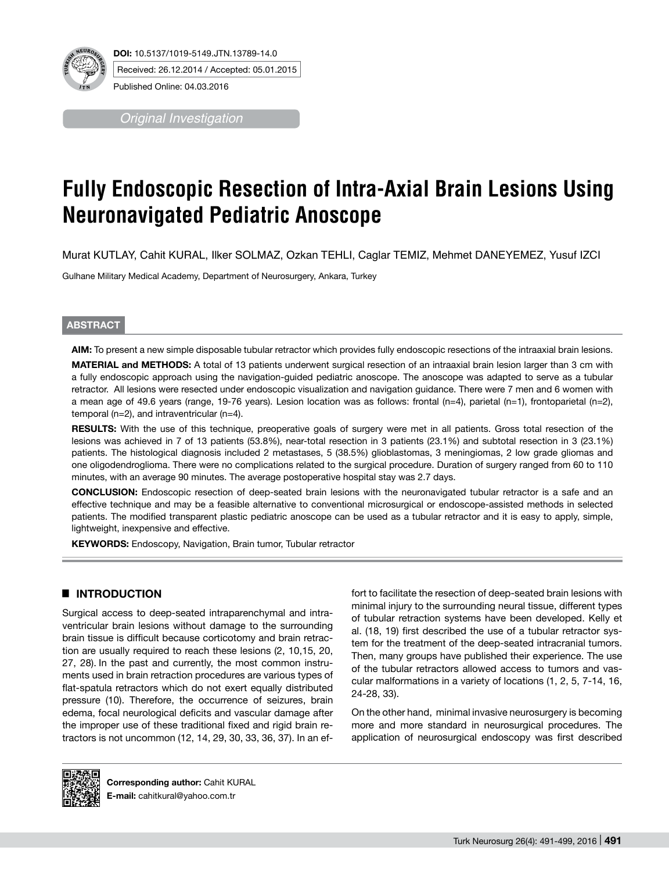

**DOI:** 10.5137/1019-5149.JTN.13789-14.0 Received: 26.12.2014 / Accepted: 05.01.2015

Published Online: 04.03.2016

*Original Investigation*

# **Fully Endoscopic Resection of Intra-Axial Brain Lesions Using Neuronavigated Pediatric Anoscope**

Murat KUTLAY, Cahit KURAL, Ilker SOLMAZ, Ozkan TEHLI, Caglar TEMIZ, Mehmet DANEYEMEZ, Yusuf IZCI

Gulhane Military Medical Academy, Department of Neurosurgery, Ankara, Turkey

# **ABSTRACT**

**AIm:** To present a new simple disposable tubular retractor which provides fully endoscopic resections of the intraaxial brain lesions.

**MaterIal and Methods:** A total of 13 patients underwent surgical resection of an intraaxial brain lesion larger than 3 cm with a fully endoscopic approach using the navigation-guided pediatric anoscope. The anoscope was adapted to serve as a tubular retractor. All lesions were resected under endoscopic visualization and navigation guidance. There were 7 men and 6 women with a mean age of 49.6 years (range, 19-76 years). Lesion location was as follows: frontal (n=4), parietal (n=1), frontoparietal (n=2), temporal (n=2), and intraventricular (n=4).

**RESULTS:** With the use of this technique, preoperative goals of surgery were met in all patients. Gross total resection of the lesions was achieved in 7 of 13 patients (53.8%), near-total resection in 3 patients (23.1%) and subtotal resection in 3 (23.1%) patients. The histological diagnosis included 2 metastases, 5 (38.5%) glioblastomas, 3 meningiomas, 2 low grade gliomas and one oligodendroglioma. There were no complications related to the surgical procedure. Duration of surgery ranged from 60 to 110 minutes, with an average 90 minutes. The average postoperative hospital stay was 2.7 days.

**ConclusIon:** Endoscopic resection of deep-seated brain lesions with the neuronavigated tubular retractor is a safe and an effective technique and may be a feasible alternative to conventional microsurgical or endoscope-assisted methods in selected patients. The modified transparent plastic pediatric anoscope can be used as a tubular retractor and it is easy to apply, simple, lightweight, inexpensive and effective.

**KEYWORDS:** Endoscopy, Navigation, Brain tumor, Tubular retractor

# █ **INTRODUCTION**

Surgical access to deep-seated intraparenchymal and intraventricular brain lesions without damage to the surrounding brain tissue is difficult because corticotomy and brain retraction are usually required to reach these lesions (2, 10,15, 20, 27, 28). In the past and currently, the most common instruments used in brain retraction procedures are various types of flat-spatula retractors which do not exert equally distributed pressure (10). Therefore, the occurrence of seizures, brain edema, focal neurological deficits and vascular damage after the improper use of these traditional fixed and rigid brain retractors is not uncommon (12, 14, 29, 30, 33, 36, 37). In an effort to facilitate the resection of deep-seated brain lesions with minimal injury to the surrounding neural tissue, different types of tubular retraction systems have been developed. Kelly et al. (18, 19) first described the use of a tubular retractor system for the treatment of the deep-seated intracranial tumors. Then, many groups have published their experience. The use of the tubular retractors allowed access to tumors and vascular malformations in a variety of locations (1, 2, 5, 7-14, 16, 24-28, 33).

On the other hand, minimal invasive neurosurgery is becoming more and more standard in neurosurgical procedures. The application of neurosurgical endoscopy was first described



**Corresponding author:** Cahit KURAL **E-mail:** cahitkural@yahoo.com.tr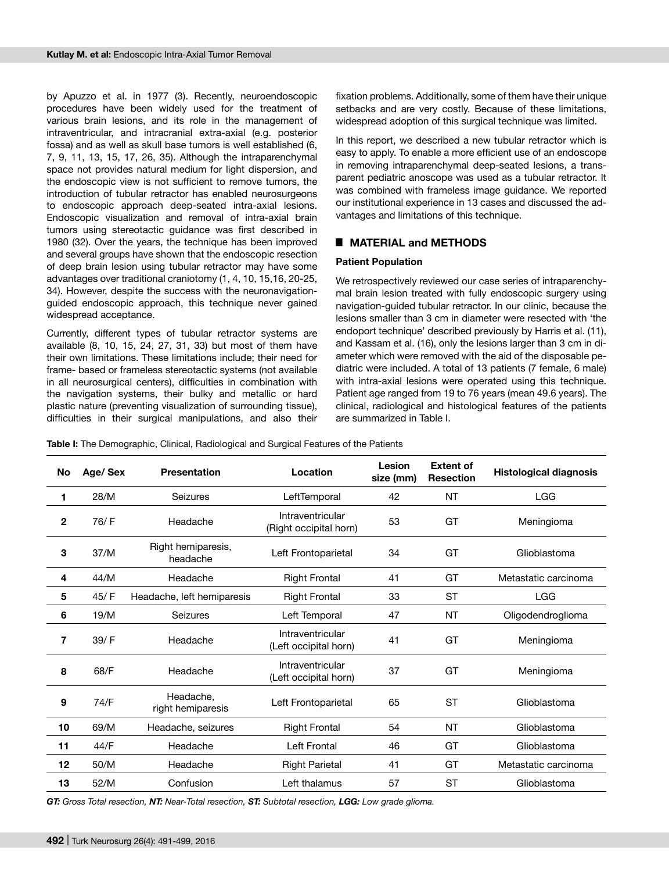by Apuzzo et al. in 1977 (3). Recently, neuroendoscopic procedures have been widely used for the treatment of various brain lesions, and its role in the management of intraventricular, and intracranial extra-axial (e.g. posterior fossa) and as well as skull base tumors is well established (6, 7, 9, 11, 13, 15, 17, 26, 35). Although the intraparenchymal space not provides natural medium for light dispersion, and the endoscopic view is not sufficient to remove tumors, the introduction of tubular retractor has enabled neurosurgeons to endoscopic approach deep-seated intra-axial lesions. Endoscopic visualization and removal of intra-axial brain tumors using stereotactic guidance was first described in 1980 (32). Over the years, the technique has been improved and several groups have shown that the endoscopic resection of deep brain lesion using tubular retractor may have some advantages over traditional craniotomy (1, 4, 10, 15,16, 20-25, 34). However, despite the success with the neuronavigationguided endoscopic approach, this technique never gained widespread acceptance.

Currently, different types of tubular retractor systems are available (8, 10, 15, 24, 27, 31, 33) but most of them have their own limitations. These limitations include; their need for frame- based or frameless stereotactic systems (not available in all neurosurgical centers), difficulties in combination with the navigation systems, their bulky and metallic or hard plastic nature (preventing visualization of surrounding tissue), difficulties in their surgical manipulations, and also their

fixation problems. Additionally, some of them have their unique setbacks and are very costly. Because of these limitations, widespread adoption of this surgical technique was limited.

In this report, we described a new tubular retractor which is easy to apply. To enable a more efficient use of an endoscope in removing intraparenchymal deep-seated lesions, a transparent pediatric anoscope was used as a tubular retractor. It was combined with frameless image guidance. We reported our institutional experience in 13 cases and discussed the advantages and limitations of this technique.

# █ **MATERIAL and METHODS**

#### **Patient Population**

We retrospectively reviewed our case series of intraparenchymal brain lesion treated with fully endoscopic surgery using navigation-guided tubular retractor. In our clinic, because the lesions smaller than 3 cm in diameter were resected with 'the endoport technique' described previously by Harris et al. (11), and Kassam et al. (16), only the lesions larger than 3 cm in diameter which were removed with the aid of the disposable pediatric were included. A total of 13 patients (7 female, 6 male) with intra-axial lesions were operated using this technique. Patient age ranged from 19 to 76 years (mean 49.6 years). The clinical, radiological and histological features of the patients are summarized in Table I.

**Table I:** The Demographic, Clinical, Radiological and Surgical Features of the Patients

| No           | Age/Sex | <b>Presentation</b>            | Location                                   | Lesion<br>size (mm) | <b>Extent of</b><br><b>Resection</b> | <b>Histological diagnosis</b> |
|--------------|---------|--------------------------------|--------------------------------------------|---------------------|--------------------------------------|-------------------------------|
| 1            | 28/M    | Seizures                       | LeftTemporal                               | 42                  | NT                                   | <b>LGG</b>                    |
| $\mathbf{2}$ | 76/F    | Headache                       | Intraventricular<br>(Right occipital horn) | 53                  | GT                                   | Meningioma                    |
| 3            | 37/M    | Right hemiparesis,<br>headache | Left Frontoparietal                        | 34                  | GT                                   | Glioblastoma                  |
| 4            | 44/M    | Headache                       | <b>Right Frontal</b>                       | 41                  | GT                                   | Metastatic carcinoma          |
| 5            | 45/F    | Headache, left hemiparesis     | <b>Right Frontal</b>                       | 33                  | <b>ST</b>                            | <b>LGG</b>                    |
| 6            | 19/M    | Seizures                       | Left Temporal                              | 47                  | <b>NT</b>                            | Oligodendroglioma             |
| 7            | 39/F    | Headache                       | Intraventricular<br>(Left occipital horn)  | 41                  | GT                                   | Meningioma                    |
| 8            | 68/F    | Headache                       | Intraventricular<br>(Left occipital horn)  | 37                  | GT                                   | Meningioma                    |
| 9            | 74/F    | Headache.<br>right hemiparesis | Left Frontoparietal                        | 65                  | <b>ST</b>                            | Glioblastoma                  |
| 10           | 69/M    | Headache, seizures             | <b>Right Frontal</b>                       | 54                  | NT                                   | Glioblastoma                  |
| 11           | 44/F    | Headache                       | Left Frontal                               | 46                  | GT                                   | Glioblastoma                  |
| 12           | 50/M    | Headache                       | <b>Right Parietal</b>                      | 41                  | GT                                   | Metastatic carcinoma          |
| 13           | 52/M    | Confusion                      | Left thalamus                              | 57                  | <b>ST</b>                            | Glioblastoma                  |

*GT: Gross Total resection, NT: Near-Total resection, ST: Subtotal resection, LGG: Low grade glioma.*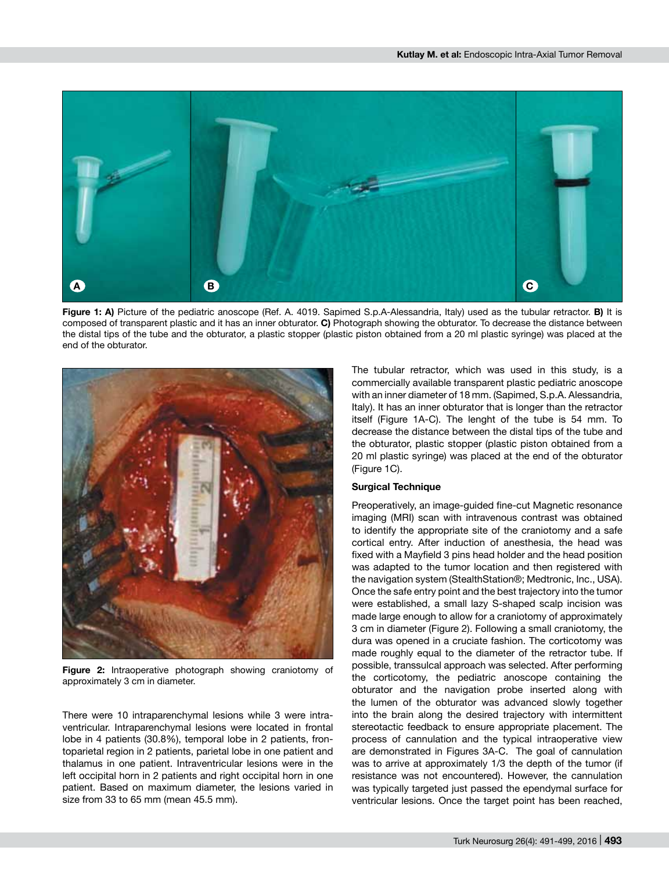

**Figure 1: A)** Picture of the pediatric anoscope (Ref. A. 4019. Sapimed S.p.A-Alessandria, Italy) used as the tubular retractor. **B)** It is composed of transparent plastic and it has an inner obturator. **C)** Photograph showing the obturator. To decrease the distance between the distal tips of the tube and the obturator, a plastic stopper (plastic piston obtained from a 20 ml plastic syringe) was placed at the end of the obturator.



**Figure 2:** Intraoperative photograph showing craniotomy of approximately 3 cm in diameter.

There were 10 intraparenchymal lesions while 3 were intraventricular. Intraparenchymal lesions were located in frontal lobe in 4 patients (30.8%), temporal lobe in 2 patients, frontoparietal region in 2 patients, parietal lobe in one patient and thalamus in one patient. Intraventricular lesions were in the left occipital horn in 2 patients and right occipital horn in one patient. Based on maximum diameter, the lesions varied in size from 33 to 65 mm (mean 45.5 mm).

The tubular retractor, which was used in this study, is a commercially available transparent plastic pediatric anoscope with an inner diameter of 18 mm. (Sapimed, S.p.A. Alessandria, Italy). It has an inner obturator that is longer than the retractor itself (Figure 1A-C). The lenght of the tube is 54 mm. To decrease the distance between the distal tips of the tube and the obturator, plastic stopper (plastic piston obtained from a 20 ml plastic syringe) was placed at the end of the obturator (Figure 1C).

#### **Surgical Technique**

Preoperatively, an image-guided fine-cut Magnetic resonance imaging (MRI) scan with intravenous contrast was obtained to identify the appropriate site of the craniotomy and a safe cortical entry. After induction of anesthesia, the head was fixed with a Mayfield 3 pins head holder and the head position was adapted to the tumor location and then registered with the navigation system (StealthStation®; Medtronic, Inc., USA). Once the safe entry point and the best trajectory into the tumor were established, a small lazy S-shaped scalp incision was made large enough to allow for a craniotomy of approximately 3 cm in diameter (Figure 2). Following a small craniotomy, the dura was opened in a cruciate fashion. The corticotomy was made roughly equal to the diameter of the retractor tube. If possible, transsulcal approach was selected. After performing the corticotomy, the pediatric anoscope containing the obturator and the navigation probe inserted along with the lumen of the obturator was advanced slowly together into the brain along the desired trajectory with intermittent stereotactic feedback to ensure appropriate placement. The process of cannulation and the typical intraoperative view are demonstrated in Figures 3A-C. The goal of cannulation was to arrive at approximately 1/3 the depth of the tumor (if resistance was not encountered). However, the cannulation was typically targeted just passed the ependymal surface for ventricular lesions. Once the target point has been reached,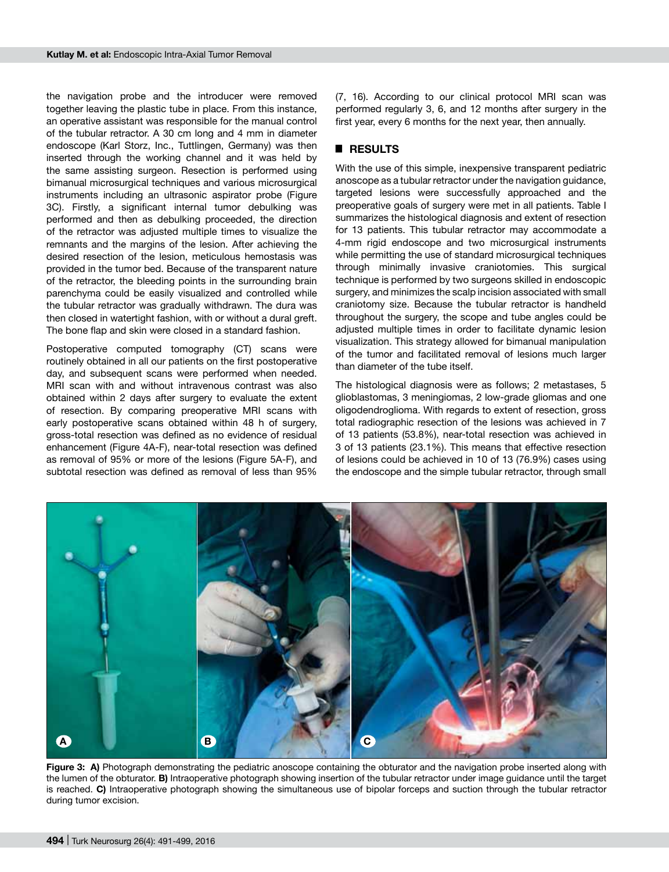the navigation probe and the introducer were removed together leaving the plastic tube in place. From this instance, an operative assistant was responsible for the manual control of the tubular retractor. A 30 cm long and 4 mm in diameter endoscope (Karl Storz, Inc., Tuttlingen, Germany) was then inserted through the working channel and it was held by the same assisting surgeon. Resection is performed using bimanual microsurgical techniques and various microsurgical instruments including an ultrasonic aspirator probe (Figure 3C). Firstly, a significant internal tumor debulking was performed and then as debulking proceeded, the direction of the retractor was adjusted multiple times to visualize the remnants and the margins of the lesion. After achieving the desired resection of the lesion, meticulous hemostasis was provided in the tumor bed. Because of the transparent nature of the retractor, the bleeding points in the surrounding brain parenchyma could be easily visualized and controlled while the tubular retractor was gradually withdrawn. The dura was then closed in watertight fashion, with or without a dural greft. The bone flap and skin were closed in a standard fashion.

Postoperative computed tomography (CT) scans were routinely obtained in all our patients on the first postoperative day, and subsequent scans were performed when needed. MRI scan with and without intravenous contrast was also obtained within 2 days after surgery to evaluate the extent of resection. By comparing preoperative MRI scans with early postoperative scans obtained within 48 h of surgery, gross-total resection was defined as no evidence of residual enhancement (Figure 4A-F), near-total resection was defined as removal of 95% or more of the lesions (Figure 5A-F), and subtotal resection was defined as removal of less than 95%

(7, 16). According to our clinical protocol MRI scan was performed regularly 3, 6, and 12 months after surgery in the first year, every 6 months for the next year, then annually.

## █ **RESULTS**

With the use of this simple, inexpensive transparent pediatric anoscope as a tubular retractor under the navigation guidance, targeted lesions were successfully approached and the preoperative goals of surgery were met in all patients. Table I summarizes the histological diagnosis and extent of resection for 13 patients. This tubular retractor may accommodate a 4-mm rigid endoscope and two microsurgical instruments while permitting the use of standard microsurgical techniques through minimally invasive craniotomies. This surgical technique is performed by two surgeons skilled in endoscopic surgery, and minimizes the scalp incision associated with small craniotomy size. Because the tubular retractor is handheld throughout the surgery, the scope and tube angles could be adjusted multiple times in order to facilitate dynamic lesion visualization. This strategy allowed for bimanual manipulation of the tumor and facilitated removal of lesions much larger than diameter of the tube itself.

The histological diagnosis were as follows; 2 metastases, 5 glioblastomas, 3 meningiomas, 2 low-grade gliomas and one oligodendroglioma. With regards to extent of resection, gross total radiographic resection of the lesions was achieved in 7 of 13 patients (53.8%), near-total resection was achieved in 3 of 13 patients (23.1%). This means that effective resection of lesions could be achieved in 10 of 13 (76.9%) cases using the endoscope and the simple tubular retractor, through small



**Figure 3: A)** Photograph demonstrating the pediatric anoscope containing the obturator and the navigation probe inserted along with the lumen of the obturator. **B)** Intraoperative photograph showing insertion of the tubular retractor under image guidance until the target is reached. **C)** Intraoperative photograph showing the simultaneous use of bipolar forceps and suction through the tubular retractor during tumor excision.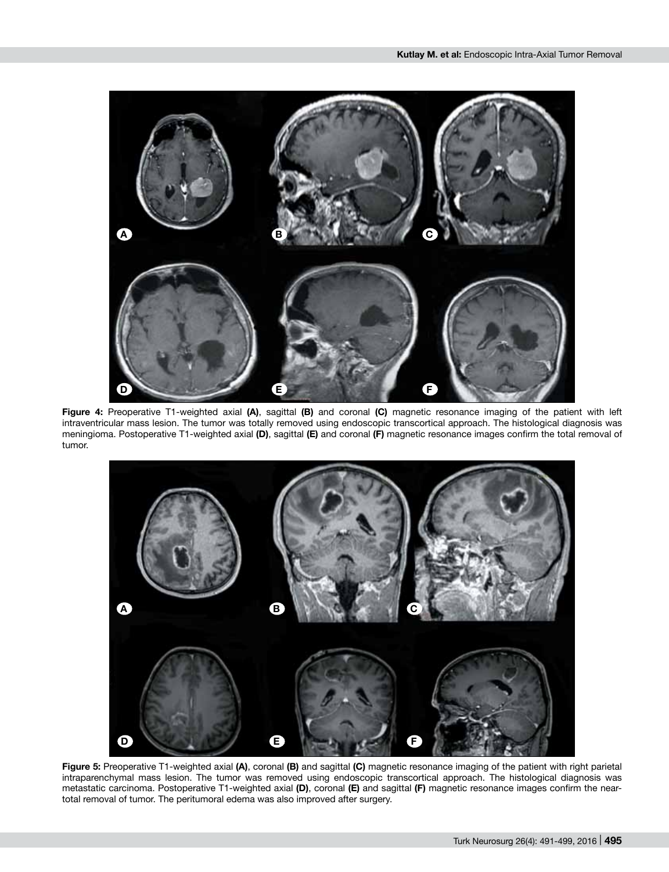

**Figure 4:** Preoperative T1-weighted axial **(A)**, sagittal **(B)** and coronal **(C)** magnetic resonance imaging of the patient with left intraventricular mass lesion. The tumor was totally removed using endoscopic transcortical approach. The histological diagnosis was meningioma. Postoperative T1-weighted axial **(D)**, sagittal **(E)** and coronal **(F)** magnetic resonance images confirm the total removal of tumor.



**Figure 5:** Preoperative T1-weighted axial **(A)**, coronal **(B)** and sagittal **(C)** magnetic resonance imaging of the patient with right parietal intraparenchymal mass lesion. The tumor was removed using endoscopic transcortical approach. The histological diagnosis was metastatic carcinoma. Postoperative T1-weighted axial **(D)**, coronal **(E)** and sagittal **(F)** magnetic resonance images confirm the neartotal removal of tumor. The peritumoral edema was also improved after surgery.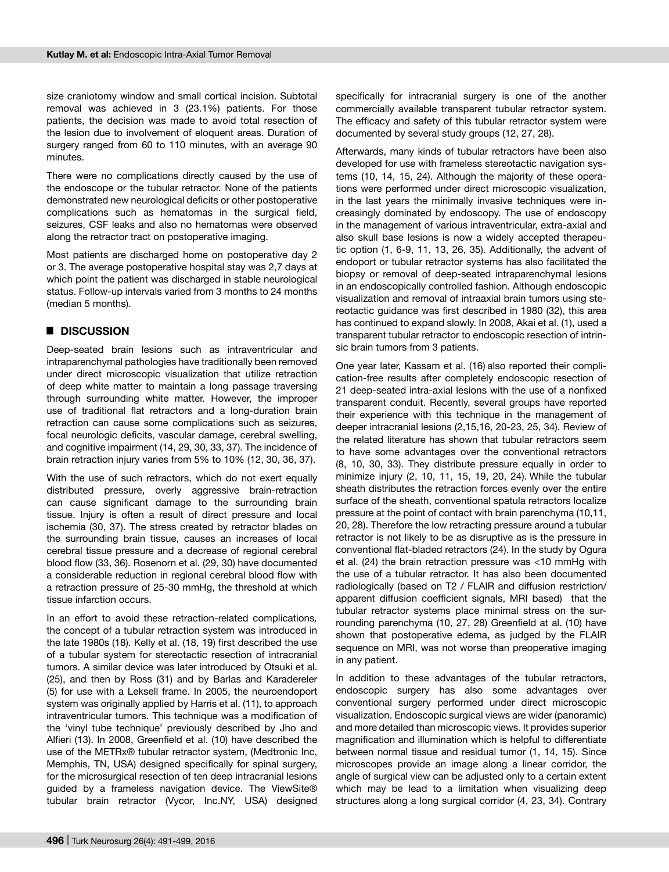size craniotomy window and small cortical incision. Subtotal removal was achieved in 3 (23.1%) patients. For those patients, the decision was made to avoid total resection of the lesion due to involvement of eloquent areas. Duration of surgery ranged from 60 to 110 minutes, with an average 90 minutes.

There were no complications directly caused by the use of the endoscope or the tubular retractor. None of the patients demonstrated new neurological deficits or other postoperative complications such as hematomas in the surgical field, seizures, CSF leaks and also no hematomas were observed along the retractor tract on postoperative imaging.

Most patients are discharged home on postoperative day 2 or 3. The average postoperative hospital stay was 2,7 days at which point the patient was discharged in stable neurological status. Follow-up intervals varied from 3 months to 24 months (median 5 months).

#### █ **DISCUSSION**

Deep-seated brain lesions such as intraventricular and intraparenchymal pathologies have traditionally been removed under direct microscopic visualization that utilize retraction of deep white matter to maintain a long passage traversing through surrounding white matter. However, the improper use of traditional flat retractors and a long-duration brain retraction can cause some complications such as seizures, focal neurologic deficits, vascular damage, cerebral swelling, and cognitive impairment (14, 29, 30, 33, 37). The incidence of brain retraction injury varies from 5% to 10% (12, 30, 36, 37).

With the use of such retractors, which do not exert equally distributed pressure, overly aggressive brain-retraction can cause significant damage to the surrounding brain tissue. Injury is often a result of direct pressure and local ischemia (30, 37). The stress created by retractor blades on the surrounding brain tissue, causes an increases of local cerebral tissue pressure and a decrease of regional cerebral blood flow (33, 36). Rosenorn et al. (29, 30) have documented a considerable reduction in regional cerebral blood flow with a retraction pressure of 25-30 mmHg, the threshold at which tissue infarction occurs.

In an effort to avoid these retraction-related complications*,*  the concept of a tubular retraction system was introduced in the late 1980s (18). Kelly et al. (18, 19) first described the use of a tubular system for stereotactic resection of intracranial tumors. A similar device was later introduced by Otsuki et al. (25), and then by Ross (31) and by Barlas and Karadereler (5) for use with a Leksell frame. In 2005, the neuroendoport system was originally applied by Harris et al. (11), to approach intraventricular tumors. This technique was a modification of the 'vinyl tube technique' previously described by Jho and Alfieri (13). In 2008, Greenfield et al. (10) have described the use of the METRx® tubular retractor system, (Medtronic Inc, Memphis, TN, USA) designed specifically for spinal surgery, for the microsurgical resection of ten deep intracranial lesions guided by a frameless navigation device. The ViewSite® tubular brain retractor (Vycor, Inc.NY, USA) designed

specifically for intracranial surgery is one of the another commercially available transparent tubular retractor system. The efficacy and safety of this tubular retractor system were documented by several study groups (12, 27, 28).

Afterwards, many kinds of tubular retractors have been also developed for use with frameless stereotactic navigation systems (10, 14, 15, 24). Although the majority of these operations were performed under direct microscopic visualization, in the last years the minimally invasive techniques were increasingly dominated by endoscopy. The use of endoscopy in the management of various intraventricular, extra-axial and also skull base lesions is now a widely accepted therapeutic option (1, 6-9, 11, 13, 26, 35). Additionally, the advent of endoport or tubular retractor systems has also facilitated the biopsy or removal of deep-seated intraparenchymal lesions in an endoscopically controlled fashion. Although endoscopic visualization and removal of intraaxial brain tumors using stereotactic guidance was first described in 1980 (32), this area has continued to expand slowly. In 2008, Akai et al. (1), used a transparent tubular retractor to endoscopic resection of intrinsic brain tumors from 3 patients.

One year later, Kassam et al. (16) also reported their complication-free results after completely endoscopic resection of 21 deep-seated intra-axial lesions with the use of a nonfixed transparent conduit. Recently, several groups have reported their experience with this technique in the management of deeper intracranial lesions (2,15,16, 20-23, 25, 34). Review of the related literature has shown that tubular retractors seem to have some advantages over the conventional retractors (8, 10, 30, 33). They distribute pressure equally in order to minimize injury (2, 10, 11, 15, 19, 20, 24). While the tubular sheath distributes the retraction forces evenly over the entire surface of the sheath, conventional spatula retractors localize pressure at the point of contact with brain parenchyma (10,11, 20, 28). Therefore the low retracting pressure around a tubular retractor is not likely to be as disruptive as is the pressure in conventional flat-bladed retractors (24). In the study by Ogura et al. (24) the brain retraction pressure was <10 mmHg with the use of a tubular retractor. It has also been documented radiologically (based on T2 / FLAIR and diffusion restriction/ apparent diffusion coefficient signals, MRI based) that the tubular retractor systems place minimal stress on the surrounding parenchyma (10, 27, 28) Greenfield at al. (10) have shown that postoperative edema, as judged by the FLAIR sequence on MRI, was not worse than preoperative imaging in any patient.

In addition to these advantages of the tubular retractors, endoscopic surgery has also some advantages over conventional surgery performed under direct microscopic visualization. Endoscopic surgical views are wider (panoramic) and more detailed than microscopic views. It provides superior magnification and illumination which is helpful to differentiate between normal tissue and residual tumor (1, 14, 15). Since microscopes provide an image along a linear corridor, the angle of surgical view can be adjusted only to a certain extent which may be lead to a limitation when visualizing deep structures along a long surgical corridor (4, 23, 34). Contrary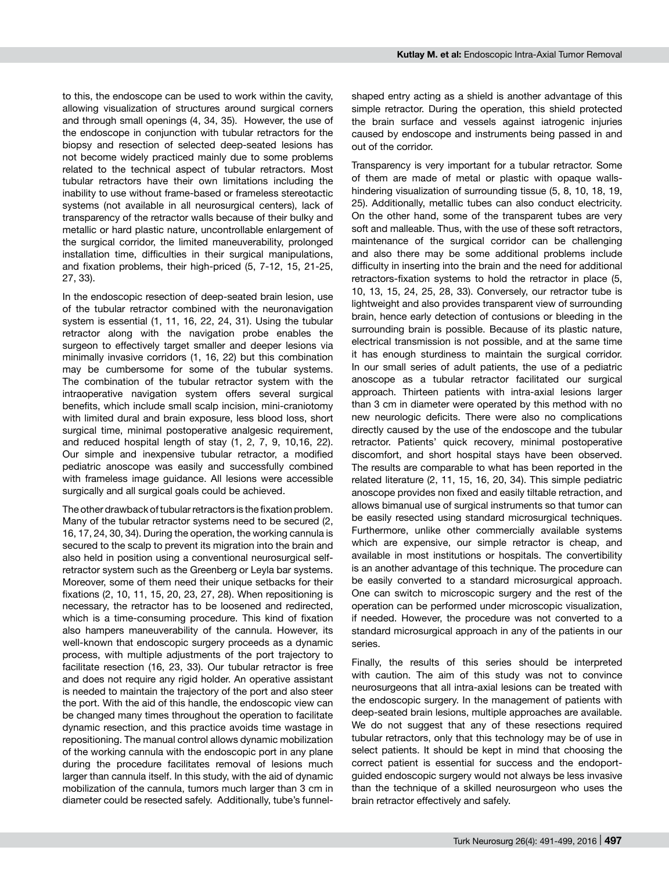to this, the endoscope can be used to work within the cavity, allowing visualization of structures around surgical corners and through small openings (4, 34, 35). However, the use of the endoscope in conjunction with tubular retractors for the biopsy and resection of selected deep-seated lesions has not become widely practiced mainly due to some problems related to the technical aspect of tubular retractors. Most tubular retractors have their own limitations including the inability to use without frame-based or frameless stereotactic systems (not available in all neurosurgical centers), lack of transparency of the retractor walls because of their bulky and metallic or hard plastic nature, uncontrollable enlargement of the surgical corridor, the limited maneuverability, prolonged installation time, difficulties in their surgical manipulations, and fixation problems, their high-priced (5, 7-12, 15, 21-25, 27, 33).

In the endoscopic resection of deep-seated brain lesion, use of the tubular retractor combined with the neuronavigation system is essential (1, 11, 16, 22, 24, 31). Using the tubular retractor along with the navigation probe enables the surgeon to effectively target smaller and deeper lesions via minimally invasive corridors (1, 16, 22) but this combination may be cumbersome for some of the tubular systems. The combination of the tubular retractor system with the intraoperative navigation system offers several surgical benefits, which include small scalp incision, mini-craniotomy with limited dural and brain exposure, less blood loss, short surgical time, minimal postoperative analgesic requirement, and reduced hospital length of stay (1, 2, 7, 9, 10,16, 22). Our simple and inexpensive tubular retractor, a modified pediatric anoscope was easily and successfully combined with frameless image guidance. All lesions were accessible surgically and all surgical goals could be achieved.

The other drawback of tubular retractors is the fixation problem. Many of the tubular retractor systems need to be secured (2, 16, 17, 24, 30, 34). During the operation, the working cannula is secured to the scalp to prevent its migration into the brain and also held in position using a conventional neurosurgical selfretractor system such as the Greenberg or Leyla bar systems. Moreover, some of them need their unique setbacks for their fixations (2, 10, 11, 15, 20, 23, 27, 28). When repositioning is necessary, the retractor has to be loosened and redirected, which is a time-consuming procedure. This kind of fixation also hampers maneuverability of the cannula. However, its well-known that endoscopic surgery proceeds as a dynamic process, with multiple adjustments of the port trajectory to facilitate resection (16, 23, 33). Our tubular retractor is free and does not require any rigid holder. An operative assistant is needed to maintain the trajectory of the port and also steer the port. With the aid of this handle, the endoscopic view can be changed many times throughout the operation to facilitate dynamic resection, and this practice avoids time wastage in repositioning. The manual control allows dynamic mobilization of the working cannula with the endoscopic port in any plane during the procedure facilitates removal of lesions much larger than cannula itself. In this study, with the aid of dynamic mobilization of the cannula, tumors much larger than 3 cm in diameter could be resected safely. Additionally, tube's funnelshaped entry acting as a shield is another advantage of this simple retractor. During the operation, this shield protected the brain surface and vessels against iatrogenic injuries caused by endoscope and instruments being passed in and out of the corridor.

Transparency is very important for a tubular retractor. Some of them are made of metal or plastic with opaque wallshindering visualization of surrounding tissue (5, 8, 10, 18, 19, 25). Additionally, metallic tubes can also conduct electricity. On the other hand, some of the transparent tubes are very soft and malleable. Thus, with the use of these soft retractors, maintenance of the surgical corridor can be challenging and also there may be some additional problems include difficulty in inserting into the brain and the need for additional retractors-fixation systems to hold the retractor in place (5, 10, 13, 15, 24, 25, 28, 33). Conversely, our retractor tube is lightweight and also provides transparent view of surrounding brain, hence early detection of contusions or bleeding in the surrounding brain is possible. Because of its plastic nature, electrical transmission is not possible, and at the same time it has enough sturdiness to maintain the surgical corridor. In our small series of adult patients, the use of a pediatric anoscope as a tubular retractor facilitated our surgical approach. Thirteen patients with intra-axial lesions larger than 3 cm in diameter were operated by this method with no new neurologic deficits. There were also no complications directly caused by the use of the endoscope and the tubular retractor. Patients' quick recovery, minimal postoperative discomfort, and short hospital stays have been observed. The results are comparable to what has been reported in the related literature (2, 11, 15, 16, 20, 34). This simple pediatric anoscope provides non fixed and easily tiltable retraction, and allows bimanual use of surgical instruments so that tumor can be easily resected using standard microsurgical techniques. Furthermore, unlike other commercially available systems which are expensive, our simple retractor is cheap, and available in most institutions or hospitals. The convertibility is an another advantage of this technique. The procedure can be easily converted to a standard microsurgical approach. One can switch to microscopic surgery and the rest of the operation can be performed under microscopic visualization, if needed. However, the procedure was not converted to a standard microsurgical approach in any of the patients in our series.

Finally, the results of this series should be interpreted with caution. The aim of this study was not to convince neurosurgeons that all intra-axial lesions can be treated with the endoscopic surgery. In the management of patients with deep-seated brain lesions, multiple approaches are available. We do not suggest that any of these resections required tubular retractors, only that this technology may be of use in select patients. It should be kept in mind that choosing the correct patient is essential for success and the endoportguided endoscopic surgery would not always be less invasive than the technique of a skilled neurosurgeon who uses the brain retractor effectively and safely.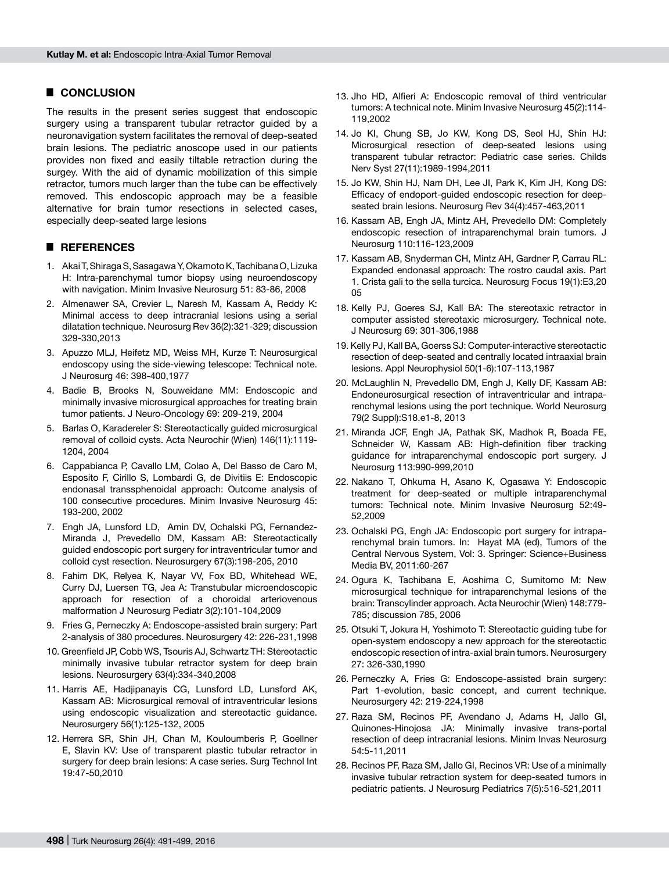# █ **CONCLUSION**

The results in the present series suggest that endoscopic surgery using a transparent tubular retractor guided by a neuronavigation system facilitates the removal of deep-seated brain lesions. The pediatric anoscope used in our patients provides non fixed and easily tiltable retraction during the surgey. With the aid of dynamic mobilization of this simple retractor, tumors much larger than the tube can be effectively removed. This endoscopic approach may be a feasible alternative for brain tumor resections in selected cases, especially deep-seated large lesions

# █ **REFERENCES**

- 1. Akai T, Shiraga S, Sasagawa Y, Okamoto K, Tachibana O, Lizuka H: Intra-parenchymal tumor biopsy using neuroendoscopy with navigation. Minim Invasive Neurosurg 51: 83-86, 2008
- 2. Almenawer SA, Crevier L, Naresh M, Kassam A, Reddy K: Minimal access to deep intracranial lesions using a serial dilatation technique. Neurosurg Rev 36(2):321-329; discussion 329-330,2013
- 3. Apuzzo MLJ, Heifetz MD, Weiss MH, Kurze T: Neurosurgical endoscopy using the side-viewing telescope: Technical note. J Neurosurg 46: 398-400,1977
- 4. Badie B, Brooks N, Souweidane MM: Endoscopic and minimally invasive microsurgical approaches for treating brain tumor patients. J Neuro-Oncology 69: 209-219, 2004
- 5. Barlas O, Karadereler S: Stereotactically guided microsurgical removal of colloid cysts. Acta Neurochir (Wien) 146(11):1119- 1204, 2004
- 6. Cappabianca P, Cavallo LM, Colao A, Del Basso de Caro M, Esposito F, Cirillo S, Lombardi G, de Divitiis E: Endoscopic endonasal transsphenoidal approach: Outcome analysis of 100 consecutive procedures. Minim Invasive Neurosurg 45: 193-200, 2002
- 7. Engh JA, Lunsford LD, Amin DV, Ochalski PG, Fernandez-Miranda J, Prevedello DM, Kassam AB: Stereotactically guided endoscopic port surgery for intraventricular tumor and colloid cyst resection. Neurosurgery 67(3):198-205, 2010
- 8. Fahim DK, Relyea K, Nayar VV, Fox BD, Whitehead WE, Curry DJ, Luersen TG, Jea A: Transtubular microendoscopic approach for resection of a choroidal arteriovenous malformation J Neurosurg Pediatr 3(2):101-104,2009
- 9. Fries G, Perneczky A: Endoscope-assisted brain surgery: Part 2-analysis of 380 procedures. Neurosurgery 42: 226-231,1998
- 10. Greenfield JP, Cobb WS, Tsouris AJ, Schwartz TH: Stereotactic minimally invasive tubular retractor system for deep brain lesions. Neurosurgery 63(4):334-340,2008
- 11. Harris AE, Hadjipanayis CG, Lunsford LD, Lunsford AK, Kassam AB: Microsurgical removal of intraventricular lesions using endoscopic visualization and stereotactic guidance. Neurosurgery 56(1):125-132, 2005
- 12. Herrera SR, Shin JH, Chan M, Kouloumberis P, Goellner E, Slavin KV: Use of transparent plastic tubular retractor in surgery for deep brain lesions: A case series. Surg Technol Int 19:47-50,2010
- 13. Jho HD, Alfieri A: Endoscopic removal of third ventricular tumors: A technical note. Minim Invasive Neurosurg 45(2):114- 119,2002
- 14. Jo KI, Chung SB, Jo KW, Kong DS, Seol HJ, Shin HJ: Microsurgical resection of deep-seated lesions using transparent tubular retractor: Pediatric case series. Childs Nerv Syst 27(11):1989-1994,2011
- 15. Jo KW, Shin HJ, Nam DH, Lee JI, Park K, Kim JH, Kong DS: Efficacy of endoport-guided endoscopic resection for deepseated brain lesions. Neurosurg Rev 34(4):457-463,2011
- 16. Kassam AB, Engh JA, Mintz AH, Prevedello DM: Completely endoscopic resection of intraparenchymal brain tumors. J Neurosurg 110:116-123,2009
- 17. Kassam AB, Snyderman CH, Mintz AH, Gardner P, Carrau RL: Expanded endonasal approach: The rostro caudal axis. Part 1. Crista gali to the sella turcica. Neurosurg Focus 19(1):E3,20 05
- 18. Kelly PJ, Goeres SJ, Kall BA: The stereotaxic retractor in computer assisted stereotaxic microsurgery. Technical note. J Neurosurg 69: 301-306,1988
- 19. Kelly PJ, Kall BA, Goerss SJ: Computer-interactive stereotactic resection of deep-seated and centrally located intraaxial brain lesions. Appl Neurophysiol 50(1-6):107-113,1987
- 20. McLaughlin N, Prevedello DM, Engh J, Kelly DF, Kassam AB: Endoneurosurgical resection of intraventricular and intraparenchymal lesions using the port technique. World Neurosurg 79(2 Suppl):S18.e1-8, 2013
- 21. Miranda JCF, Engh JA, Pathak SK, Madhok R, Boada FE, Schneider W, Kassam AB: High-definition fiber tracking guidance for intraparenchymal endoscopic port surgery. J Neurosurg 113:990-999,2010
- 22. Nakano T, Ohkuma H, Asano K, Ogasawa Y: Endoscopic treatment for deep-seated or multiple intraparenchymal tumors: Technical note. Minim Invasive Neurosurg 52:49- 52,2009
- 23. Ochalski PG, Engh JA: Endoscopic port surgery for intraparenchymal brain tumors. In: Hayat MA (ed), Tumors of the Central Nervous System, Vol: 3. Springer: Science+Business Media BV, 2011:60-267
- 24. Ogura K, Tachibana E, Aoshima C, Sumitomo M: New microsurgical technique for intraparenchymal lesions of the brain: Transcylinder approach. Acta Neurochir (Wien) 148:779- 785; discussion 785, 2006
- 25. Otsuki T, Jokura H, Yoshimoto T: Stereotactic guiding tube for open-system endoscopy a new approach for the stereotactic endoscopic resection of intra-axial brain tumors. Neurosurgery 27: 326-330,1990
- 26. Perneczky A, Fries G: Endoscope-assisted brain surgery: Part 1-evolution, basic concept, and current technique. Neurosurgery 42: 219-224,1998
- 27. Raza SM, Recinos PF, Avendano J, Adams H, Jallo GI, Quinones-Hinojosa JA: Minimally invasive trans-portal resection of deep intracranial lesions. Minim Invas Neurosurg 54:5-11,2011
- 28. Recinos PF, Raza SM, Jallo GI, Recinos VR: Use of a minimally invasive tubular retraction system for deep-seated tumors in pediatric patients. J Neurosurg Pediatrics 7(5):516-521,2011